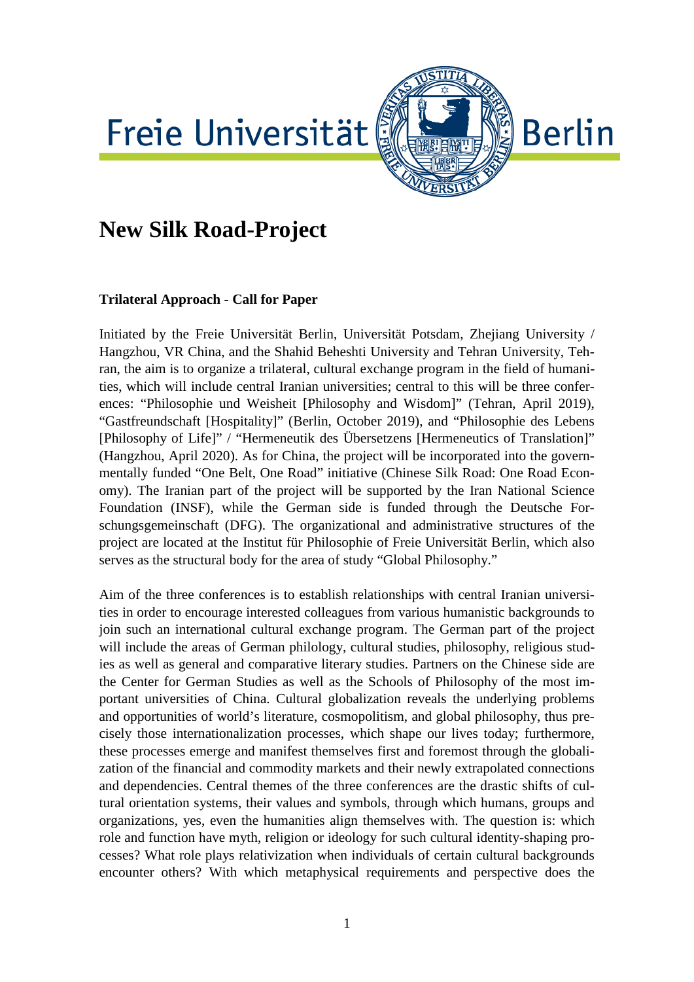# Freie Universität



# **New Silk Road-Project**

## **Trilateral Approach - Call for Paper**

Initiated by the Freie Universität Berlin, Universität Potsdam, Zhejiang University / Hangzhou, VR China, and the Shahid Beheshti University and Tehran University, Tehran, the aim is to organize a trilateral, cultural exchange program in the field of humanities, which will include central Iranian universities; central to this will be three conferences: "Philosophie und Weisheit [Philosophy and Wisdom]" (Tehran, April 2019), "Gastfreundschaft [Hospitality]" (Berlin, October 2019), and "Philosophie des Lebens [Philosophy of Life]" / "Hermeneutik des Übersetzens [Hermeneutics of Translation]" (Hangzhou, April 2020). As for China, the project will be incorporated into the governmentally funded "One Belt, One Road" initiative (Chinese Silk Road: One Road Economy). The Iranian part of the project will be supported by the Iran National Science Foundation (INSF), while the German side is funded through the Deutsche Forschungsgemeinschaft (DFG). The organizational and administrative structures of the project are located at the Institut für Philosophie of Freie Universität Berlin, which also serves as the structural body for the area of study "Global Philosophy."

Aim of the three conferences is to establish relationships with central Iranian universities in order to encourage interested colleagues from various humanistic backgrounds to join such an international cultural exchange program. The German part of the project will include the areas of German philology, cultural studies, philosophy, religious studies as well as general and comparative literary studies. Partners on the Chinese side are the Center for German Studies as well as the Schools of Philosophy of the most important universities of China. Cultural globalization reveals the underlying problems and opportunities of world's literature, cosmopolitism, and global philosophy, thus precisely those internationalization processes, which shape our lives today; furthermore, these processes emerge and manifest themselves first and foremost through the globalization of the financial and commodity markets and their newly extrapolated connections and dependencies. Central themes of the three conferences are the drastic shifts of cultural orientation systems, their values and symbols, through which humans, groups and organizations, yes, even the humanities align themselves with. The question is: which role and function have myth, religion or ideology for such cultural identity-shaping processes? What role plays relativization when individuals of certain cultural backgrounds encounter others? With which metaphysical requirements and perspective does the